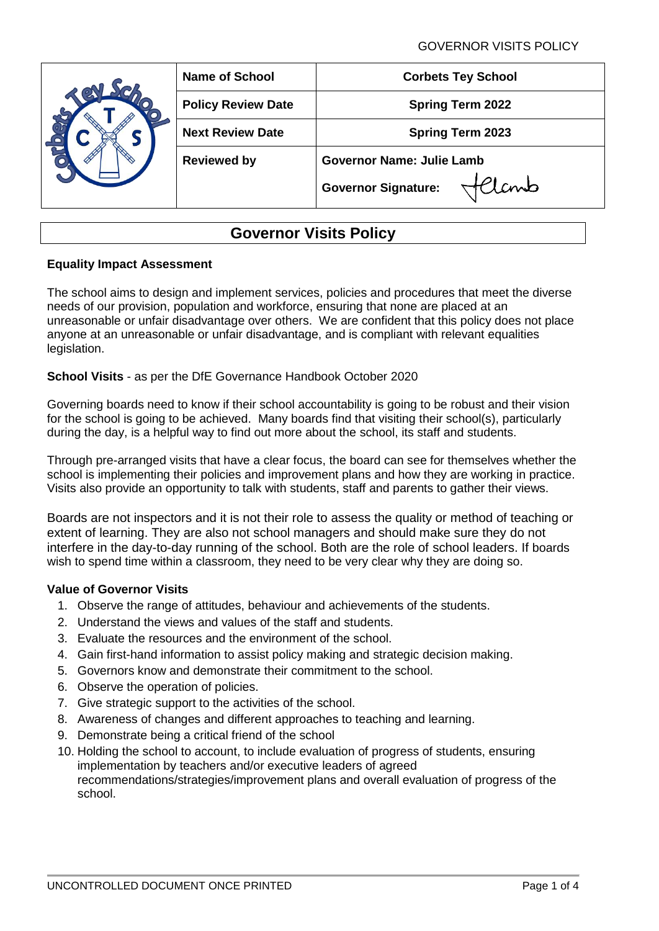GOVERNOR VISITS POLICY

|  | <b>Name of School</b>     | <b>Corbets Tey School</b>          |  |  |
|--|---------------------------|------------------------------------|--|--|
|  | <b>Policy Review Date</b> | <b>Spring Term 2022</b>            |  |  |
|  | <b>Next Review Date</b>   | <b>Spring Term 2023</b>            |  |  |
|  | <b>Reviewed by</b>        | <b>Governor Name: Julie Lamb</b>   |  |  |
|  |                           | lanb<br><b>Governor Signature:</b> |  |  |

# **Governor Visits Policy**

# **Equality Impact Assessment**

The school aims to design and implement services, policies and procedures that meet the diverse needs of our provision, population and workforce, ensuring that none are placed at an unreasonable or unfair disadvantage over others. We are confident that this policy does not place anyone at an unreasonable or unfair disadvantage, and is compliant with relevant equalities legislation.

# **School Visits** - as per the DfE Governance Handbook October 2020

Governing boards need to know if their school accountability is going to be robust and their vision for the school is going to be achieved. Many boards find that visiting their school(s), particularly during the day, is a helpful way to find out more about the school, its staff and students.

Through pre-arranged visits that have a clear focus, the board can see for themselves whether the school is implementing their policies and improvement plans and how they are working in practice. Visits also provide an opportunity to talk with students, staff and parents to gather their views.

Boards are not inspectors and it is not their role to assess the quality or method of teaching or extent of learning. They are also not school managers and should make sure they do not interfere in the day-to-day running of the school. Both are the role of school leaders. If boards wish to spend time within a classroom, they need to be very clear why they are doing so.

## **Value of Governor Visits**

- 1. Observe the range of attitudes, behaviour and achievements of the students.
- 2. Understand the views and values of the staff and students.
- 3. Evaluate the resources and the environment of the school.
- 4. Gain first-hand information to assist policy making and strategic decision making.
- 5. Governors know and demonstrate their commitment to the school.
- 6. Observe the operation of policies.
- 7. Give strategic support to the activities of the school.
- 8. Awareness of changes and different approaches to teaching and learning.
- 9. Demonstrate being a critical friend of the school
- 10. Holding the school to account, to include evaluation of progress of students, ensuring implementation by teachers and/or executive leaders of agreed recommendations/strategies/improvement plans and overall evaluation of progress of the school.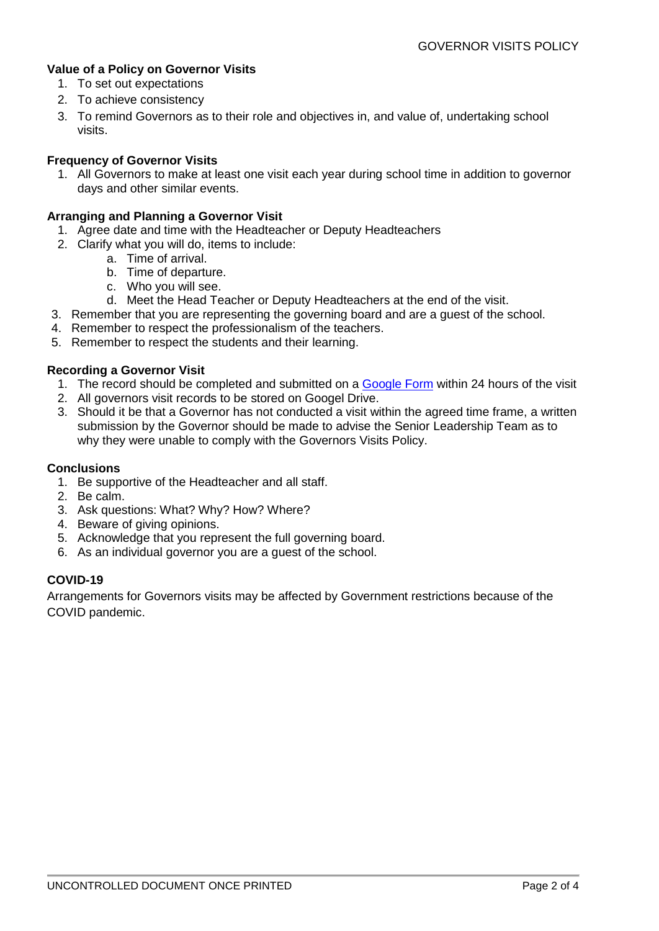# **Value of a Policy on Governor Visits**

- 1. To set out expectations
- 2. To achieve consistency
- 3. To remind Governors as to their role and objectives in, and value of, undertaking school visits.

# **Frequency of Governor Visits**

1. All Governors to make at least one visit each year during school time in addition to governor days and other similar events.

## **Arranging and Planning a Governor Visit**

- 1. Agree date and time with the Headteacher or Deputy Headteachers
- 2. Clarify what you will do, items to include:
	- a. Time of arrival.
	- b. Time of departure.
	- c. Who you will see.
	- d. Meet the Head Teacher or Deputy Headteachers at the end of the visit.
- 3. Remember that you are representing the governing board and are a guest of the school.
- 4. Remember to respect the professionalism of the teachers.
- 5. Remember to respect the students and their learning.

## **Recording a Governor Visit**

- 1. The record should be completed and submitted on a [Google Form](https://forms.gle/nTwjR7bFGcyeSFMM6) within 24 hours of the visit
- 2. All governors visit records to be stored on Googel Drive.
- 3. Should it be that a Governor has not conducted a visit within the agreed time frame, a written submission by the Governor should be made to advise the Senior Leadership Team as to why they were unable to comply with the Governors Visits Policy.

## **Conclusions**

- 1. Be supportive of the Headteacher and all staff.
- 2. Be calm.
- 3. Ask questions: What? Why? How? Where?
- 4. Beware of giving opinions.
- 5. Acknowledge that you represent the full governing board.
- 6. As an individual governor you are a guest of the school.

## **COVID-19**

Arrangements for Governors visits may be affected by Government restrictions because of the COVID pandemic.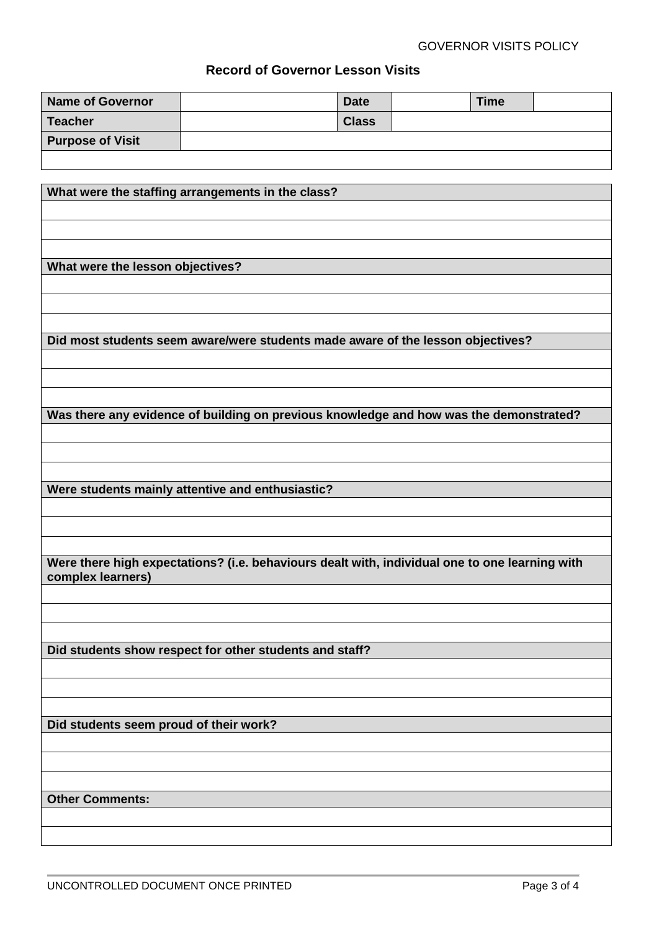# **Record of Governor Lesson Visits**

| <b>Name of Governor</b> | <b>Date</b>  | Time |  |
|-------------------------|--------------|------|--|
| <b>Teacher</b>          | <b>Class</b> |      |  |
| <b>Purpose of Visit</b> |              |      |  |
|                         |              |      |  |

**What were the staffing arrangements in the class?**

**What were the lesson objectives?**

**Did most students seem aware/were students made aware of the lesson objectives?**

**Was there any evidence of building on previous knowledge and how was the demonstrated?**

**Were students mainly attentive and enthusiastic?**

**Were there high expectations? (i.e. behaviours dealt with, individual one to one learning with complex learners)**

**Did students show respect for other students and staff?**

**Did students seem proud of their work?**

**Other Comments:**